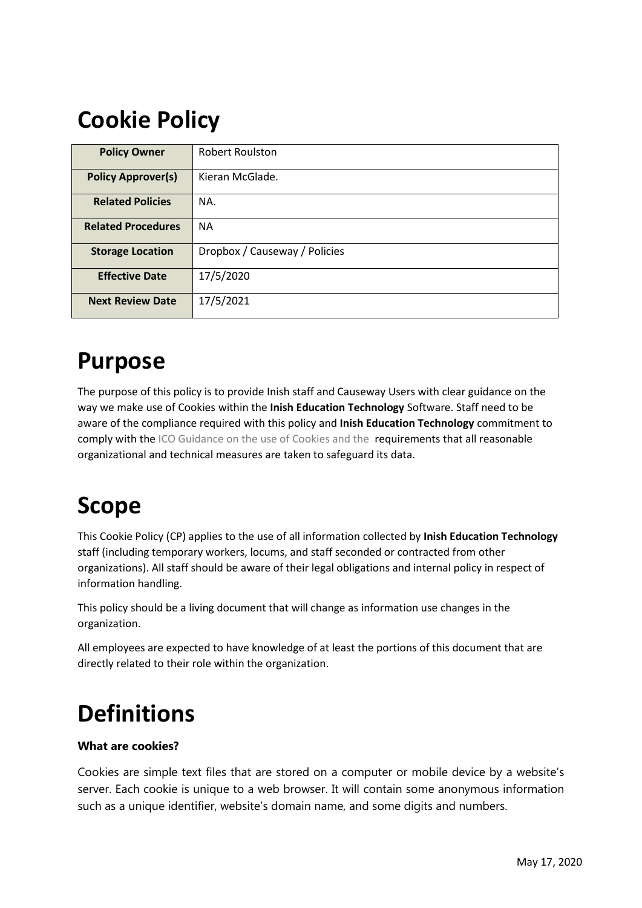# **Cookie Policy**

| <b>Policy Owner</b>       | <b>Robert Roulston</b>        |  |  |
|---------------------------|-------------------------------|--|--|
| <b>Policy Approver(s)</b> | Kieran McGlade.               |  |  |
| <b>Related Policies</b>   | NA.                           |  |  |
| <b>Related Procedures</b> | <b>NA</b>                     |  |  |
| <b>Storage Location</b>   | Dropbox / Causeway / Policies |  |  |
| <b>Effective Date</b>     | 17/5/2020                     |  |  |
| <b>Next Review Date</b>   | 17/5/2021                     |  |  |

### **Purpose**

The purpose of this policy is to provide Inish staff and Causeway Users with clear guidance on the way we make use of Cookies within the **Inish Education Technology** Software. Staff need to be aware of the compliance required with this policy and **Inish Education Technology** commitment to comply with the ICO Guidance on the use of Cookies and the requirements that all reasonable organizational and technical measures are taken to safeguard its data.

### **Scope**

This Cookie Policy (CP) applies to the use of all information collected by **Inish Education Technology** staff (including temporary workers, locums, and staff seconded or contracted from other organizations). All staff should be aware of their legal obligations and internal policy in respect of information handling.

This policy should be a living document that will change as information use changes in the organization.

All employees are expected to have knowledge of at least the portions of this document that are directly related to their role within the organization.

# **Definitions**

### **What are cookies?**

Cookies are simple text files that are stored on a computer or mobile device by a website's server. Each cookie is unique to a web browser. It will contain some anonymous information such as a unique identifier, website's domain name, and some digits and numbers.